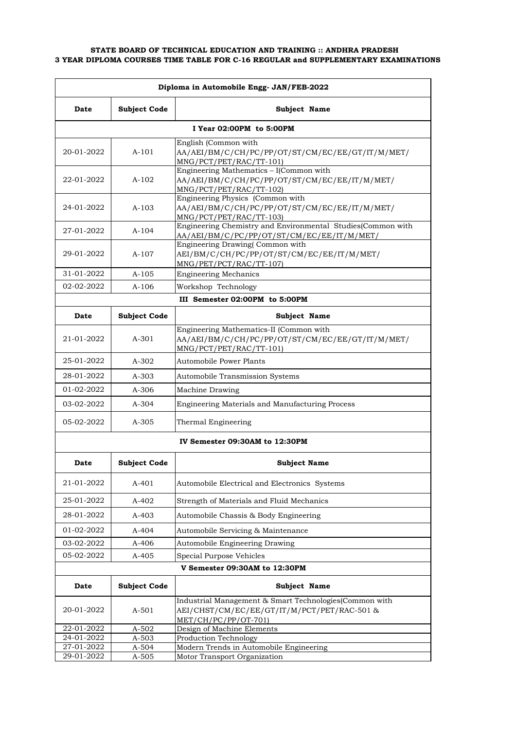| Diploma in Automobile Engg- JAN/FEB-2022 |                     |                                                                                                                               |
|------------------------------------------|---------------------|-------------------------------------------------------------------------------------------------------------------------------|
| Date                                     | <b>Subject Code</b> | <b>Subject Name</b>                                                                                                           |
|                                          |                     | I Year 02:00PM to 5:00PM                                                                                                      |
| 20-01-2022                               | $A-101$             | English (Common with<br>AA/AEI/BM/C/CH/PC/PP/OT/ST/CM/EC/EE/GT/IT/M/MET/<br>MNG/PCT/PET/RAC/TT-101)                           |
| 22-01-2022                               | $A-102$             | Engineering Mathematics - I(Common with<br>AA/AEI/BM/C/CH/PC/PP/OT/ST/CM/EC/EE/IT/M/MET/<br>MNG/PCT/PET/RAC/TT-102)           |
| 24-01-2022                               | $A-103$             | Engineering Physics (Common with<br>AA/AEI/BM/C/CH/PC/PP/OT/ST/CM/EC/EE/IT/M/MET/<br>MNG/PCT/PET/RAC/TT-103)                  |
| 27-01-2022                               | $A-104$             | Engineering Chemistry and Environmental Studies(Common with<br>AA/AEI/BM/C/PC/PP/OT/ST/CM/EC/EE/IT/M/MET/                     |
| 29-01-2022                               | $A-107$             | Engineering Drawing(Common with<br>AEI/BM/C/CH/PC/PP/OT/ST/CM/EC/EE/IT/M/MET/<br>MNG/PET/PCT/RAC/TT-107)                      |
| 31-01-2022                               | $A-105$             | <b>Engineering Mechanics</b>                                                                                                  |
| 02-02-2022                               | $A-106$             | Workshop Technology                                                                                                           |
|                                          |                     | III Semester 02:00PM to 5:00PM                                                                                                |
| Date                                     | <b>Subject Code</b> | Subject Name                                                                                                                  |
| 21-01-2022                               | $A - 301$           | Engineering Mathematics-II (Common with<br>AA/AEI/BM/C/CH/PC/PP/OT/ST/CM/EC/EE/GT/IT/M/MET/<br>MNG/PCT/PET/RAC/TT-101)        |
| 25-01-2022                               | $A-302$             | Automobile Power Plants                                                                                                       |
| 28-01-2022                               | $A - 303$           | <b>Automobile Transmission Systems</b>                                                                                        |
| 01-02-2022                               | $A-306$             | Machine Drawing                                                                                                               |
| 03-02-2022                               | $A - 304$           | Engineering Materials and Manufacturing Process                                                                               |
| 05-02-2022                               | $A - 305$           | Thermal Engineering                                                                                                           |
|                                          |                     | IV Semester 09:30AM to 12:30PM                                                                                                |
| Date                                     | <b>Subject Code</b> | <b>Subject Name</b>                                                                                                           |
| 21-01-2022                               | A-401               | Automobile Electrical and Electronics Systems                                                                                 |
| 25-01-2022                               | A-402               | Strength of Materials and Fluid Mechanics                                                                                     |
| 28-01-2022                               | A-403               | Automobile Chassis & Body Engineering                                                                                         |
| 01-02-2022                               | A-404               | Automobile Servicing & Maintenance                                                                                            |
| 03-02-2022                               | A-406               | <b>Automobile Engineering Drawing</b>                                                                                         |
| 05-02-2022                               | $A - 405$           | Special Purpose Vehicles                                                                                                      |
|                                          |                     | V Semester 09:30AM to 12:30PM                                                                                                 |
| Date                                     | <b>Subject Code</b> | Subject Name                                                                                                                  |
| 20-01-2022                               | A-501               | Industrial Management & Smart Technologies(Common with<br>AEI/CHST/CM/EC/EE/GT/IT/M/PCT/PET/RAC-501 &<br>MET/CH/PC/PP/OT-701) |
| 22-01-2022                               | A-502               | Design of Machine Elements                                                                                                    |
| 24-01-2022<br>27-01-2022                 | A-503<br>A-504      | Production Technology<br>Modern Trends in Automobile Engineering                                                              |
| 29-01-2022                               | A-505               | Motor Transport Organization                                                                                                  |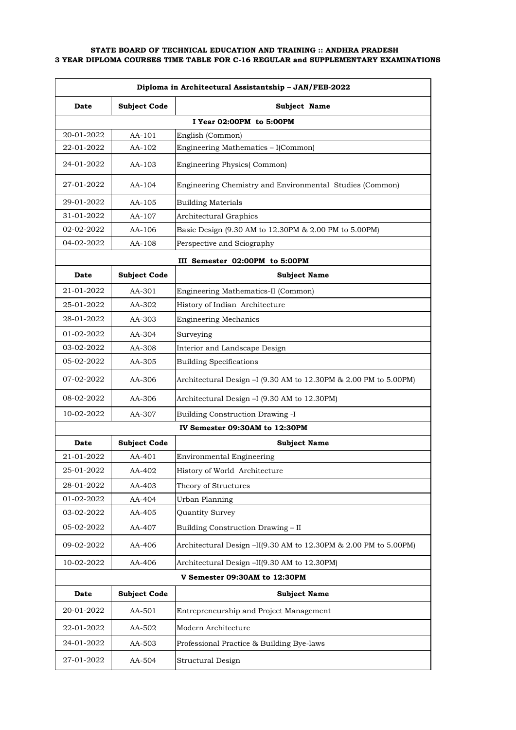| Diploma in Architectural Assistantship - JAN/FEB-2022 |                     |                                                                                                       |
|-------------------------------------------------------|---------------------|-------------------------------------------------------------------------------------------------------|
| <b>Date</b>                                           | <b>Subject Code</b> | Subject Name                                                                                          |
|                                                       |                     | I Year 02:00PM to 5:00PM                                                                              |
| 20-01-2022                                            | AA-101              | English (Common)                                                                                      |
| 22-01-2022                                            | AA-102              | Engineering Mathematics - I(Common)                                                                   |
| 24-01-2022                                            | AA-103              | <b>Engineering Physics</b> (Common)                                                                   |
| 27-01-2022                                            | $AA-104$            | Engineering Chemistry and Environmental Studies (Common)                                              |
| 29-01-2022                                            | AA-105              | <b>Building Materials</b>                                                                             |
| 31-01-2022                                            | AA-107              | Architectural Graphics                                                                                |
| 02-02-2022                                            | AA-106              | Basic Design (9.30 AM to 12.30PM & 2.00 PM to 5.00PM)                                                 |
| 04-02-2022                                            | AA-108              | Perspective and Sciography                                                                            |
|                                                       |                     | III Semester 02:00PM to 5:00PM                                                                        |
| <b>Date</b>                                           | <b>Subject Code</b> | <b>Subject Name</b>                                                                                   |
| 21-01-2022                                            | AA-301              | Engineering Mathematics-II (Common)                                                                   |
| 25-01-2022                                            | AA-302              | History of Indian Architecture                                                                        |
| 28-01-2022                                            | AA-303              | <b>Engineering Mechanics</b>                                                                          |
| 01-02-2022                                            | AA-304              | Surveying                                                                                             |
| 03-02-2022                                            | AA-308              | Interior and Landscape Design                                                                         |
| 05-02-2022                                            | AA-305              | <b>Building Specifications</b>                                                                        |
| 07-02-2022                                            | AA-306              | Architectural Design $-I$ (9.30 AM to 12.30PM $\&$ 2.00 PM to 5.00PM)                                 |
| 08-02-2022                                            | AA-306              | Architectural Design - I (9.30 AM to 12.30PM)                                                         |
| 10-02-2022                                            | AA-307              | <b>Building Construction Drawing -I</b>                                                               |
|                                                       |                     | IV Semester 09:30AM to 12:30PM                                                                        |
| <b>Date</b>                                           | <b>Subject Code</b> | <b>Subject Name</b>                                                                                   |
| 21-01-2022                                            | AA-401              | <b>Environmental Engineering</b>                                                                      |
| 25-01-2022                                            | AA-402              | History of World Architecture                                                                         |
| 28-01-2022                                            | AA-403              | Theory of Structures                                                                                  |
| 01-02-2022                                            | AA-404              | Urban Planning                                                                                        |
| 03-02-2022                                            | AA-405              | Quantity Survey                                                                                       |
| 05-02-2022                                            | AA-407              | Building Construction Drawing - II                                                                    |
| 09-02-2022                                            | AA-406              | Architectural Design $-II(9.30 \text{ AM to } 12.30 \text{PM} \& 2.00 \text{ PM to } 5.00 \text{PM})$ |
| 10-02-2022                                            | AA-406              | Architectural Design -II(9.30 AM to 12.30PM)                                                          |
|                                                       |                     | V Semester 09:30AM to 12:30PM                                                                         |
| Date                                                  | <b>Subject Code</b> | <b>Subject Name</b>                                                                                   |
| 20-01-2022                                            | AA-501              | Entrepreneurship and Project Management                                                               |
| 22-01-2022                                            | AA-502              | Modern Architecture                                                                                   |
| 24-01-2022                                            | AA-503              | Professional Practice & Building Bye-laws                                                             |
| 27-01-2022                                            | AA-504              | Structural Design                                                                                     |
|                                                       |                     |                                                                                                       |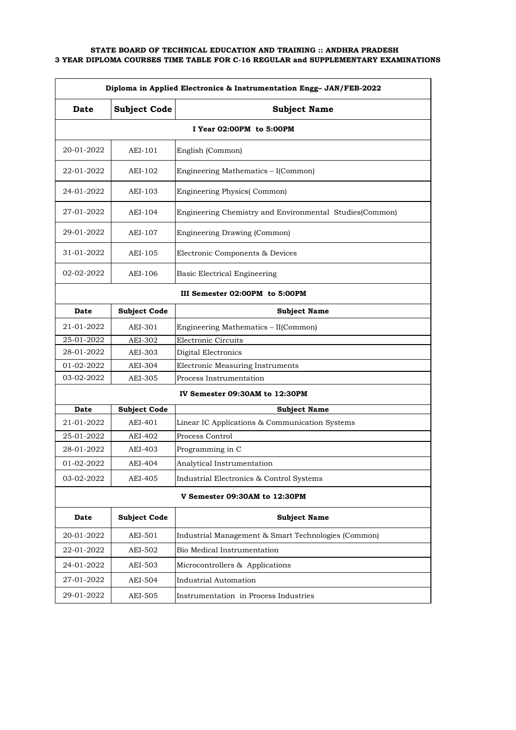| Diploma in Applied Electronics & Instrumentation Engg- JAN/FEB-2022 |                               |                                                         |  |
|---------------------------------------------------------------------|-------------------------------|---------------------------------------------------------|--|
| <b>Date</b>                                                         | <b>Subject Code</b>           | <b>Subject Name</b>                                     |  |
|                                                                     |                               | I Year 02:00PM to 5:00PM                                |  |
| 20-01-2022                                                          | AEI-101                       | English (Common)                                        |  |
| 22-01-2022                                                          | AEI-102                       | Engineering Mathematics - I(Common)                     |  |
| 24-01-2022                                                          | AEI-103                       | <b>Engineering Physics</b> (Common)                     |  |
| 27-01-2022                                                          | AEI-104                       | Engineering Chemistry and Environmental Studies(Common) |  |
| 29-01-2022                                                          | AEI-107                       | Engineering Drawing (Common)                            |  |
| 31-01-2022                                                          | AEI-105                       | Electronic Components & Devices                         |  |
| 02-02-2022                                                          | AEI-106                       | Basic Electrical Engineering                            |  |
|                                                                     |                               | III Semester 02:00PM to 5:00PM                          |  |
| <b>Date</b>                                                         | <b>Subject Code</b>           | <b>Subject Name</b>                                     |  |
| 21-01-2022                                                          | AEI-301                       | Engineering Mathematics - II(Common)                    |  |
| 25-01-2022                                                          | AEI-302                       | Electronic Circuits                                     |  |
| 28-01-2022                                                          | AEI-303                       | Digital Electronics                                     |  |
| 01-02-2022                                                          | AEI-304                       | Electronic Measuring Instruments                        |  |
| 03-02-2022                                                          | AEI-305                       | Process Instrumentation                                 |  |
|                                                                     |                               | IV Semester 09:30AM to 12:30PM                          |  |
| Date                                                                | <b>Subject Code</b>           | <b>Subject Name</b>                                     |  |
| 21-01-2022                                                          | AEI-401                       | Linear IC Applications & Communication Systems          |  |
| 25-01-2022                                                          | AEI-402                       | Process Control                                         |  |
| 28-01-2022                                                          | AEI-403                       | Programming in C                                        |  |
| 01-02-2022                                                          | AEI-404                       | Analytical Instrumentation                              |  |
| 03-02-2022                                                          | AEI-405                       | Industrial Electronics & Control Systems                |  |
|                                                                     | V Semester 09:30AM to 12:30PM |                                                         |  |
| Date                                                                | <b>Subject Code</b>           | <b>Subject Name</b>                                     |  |
| 20-01-2022                                                          | AEI-501                       | Industrial Management & Smart Technologies (Common)     |  |
| 22-01-2022                                                          | AEI-502                       | Bio Medical Instrumentation                             |  |
| 24-01-2022                                                          | AEI-503                       | Microcontrollers & Applications                         |  |
| 27-01-2022                                                          | AEI-504                       | <b>Industrial Automation</b>                            |  |
| 29-01-2022                                                          | AEI-505                       | Instrumentation in Process Industries                   |  |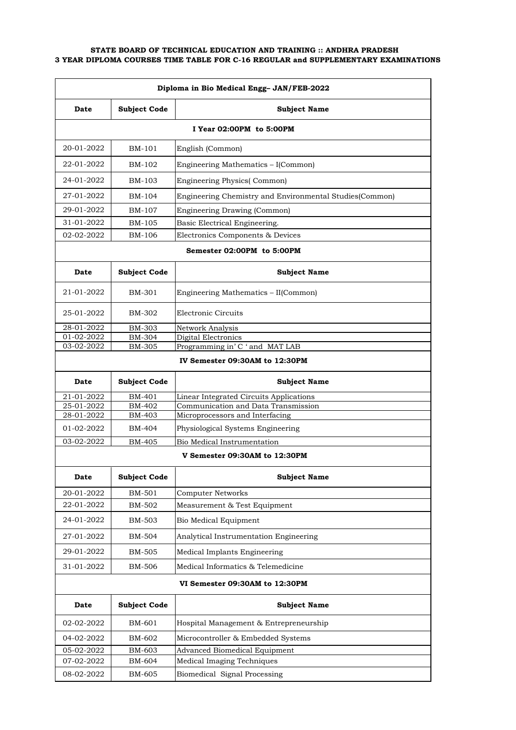| Diploma in Bio Medical Engg- JAN/FEB-2022 |                                |                                                                                |  |
|-------------------------------------------|--------------------------------|--------------------------------------------------------------------------------|--|
| Date                                      | <b>Subject Code</b>            | <b>Subject Name</b>                                                            |  |
|                                           |                                | I Year 02:00PM to 5:00PM                                                       |  |
| 20-01-2022                                | BM-101                         | English (Common)                                                               |  |
| 22-01-2022                                | BM-102                         | Engineering Mathematics - I(Common)                                            |  |
| 24-01-2022                                | BM-103                         | <b>Engineering Physics</b> (Common)                                            |  |
| 27-01-2022                                | BM-104                         | Engineering Chemistry and Environmental Studies (Common)                       |  |
| 29-01-2022                                | BM-107                         | Engineering Drawing (Common)                                                   |  |
| 31-01-2022                                | BM-105                         | Basic Electrical Engineering.                                                  |  |
| 02-02-2022                                | BM-106                         | Electronics Components & Devices                                               |  |
|                                           |                                | Semester 02:00PM to 5:00PM                                                     |  |
| Date                                      | <b>Subject Code</b>            | <b>Subject Name</b>                                                            |  |
| 21-01-2022                                | BM-301                         | Engineering Mathematics - II(Common)                                           |  |
| 25-01-2022                                | BM-302                         | Electronic Circuits                                                            |  |
| 28-01-2022                                | BM-303                         | Network Analysis                                                               |  |
| 01-02-2022<br>03-02-2022                  | BM-304<br><b>BM-305</b>        | Digital Electronics<br>Programming in' C ' and MAT LAB                         |  |
|                                           |                                |                                                                                |  |
|                                           |                                | IV Semester 09:30AM to 12:30PM                                                 |  |
| Date                                      | <b>Subject Code</b>            | <b>Subject Name</b>                                                            |  |
| 21-01-2022<br>25-01-2022                  | BM-401<br>BM-402               | Linear Integrated Circuits Applications<br>Communication and Data Transmission |  |
| 28-01-2022                                | BM-403                         | Microprocessors and Interfacing                                                |  |
| 01-02-2022                                | BM-404                         | Physiological Systems Engineering                                              |  |
| 03-02-2022                                | BM-405                         | Bio Medical Instrumentation                                                    |  |
|                                           |                                | V Semester 09:30AM to 12:30PM                                                  |  |
| Date                                      | <b>Subject Code</b>            | <b>Subject Name</b>                                                            |  |
| 20-01-2022                                | BM-501                         | <b>Computer Networks</b>                                                       |  |
| 22-01-2022                                | <b>BM-502</b>                  | Measurement & Test Equipment                                                   |  |
| 24-01-2022                                | BM-503                         | Bio Medical Equipment                                                          |  |
| 27-01-2022                                | <b>BM-504</b>                  | Analytical Instrumentation Engineering                                         |  |
| 29-01-2022                                | BM-505                         | Medical Implants Engineering                                                   |  |
| 31-01-2022                                | BM-506                         | Medical Informatics & Telemedicine                                             |  |
|                                           | VI Semester 09:30AM to 12:30PM |                                                                                |  |
| Date                                      | <b>Subject Code</b>            | <b>Subject Name</b>                                                            |  |
| 02-02-2022                                | BM-601                         | Hospital Management & Entrepreneurship                                         |  |
| 04-02-2022                                | BM-602                         | Microcontroller & Embedded Systems                                             |  |
| 05-02-2022                                | BM-603                         | Advanced Biomedical Equipment                                                  |  |
| 07-02-2022                                | BM-604                         | Medical Imaging Techniques                                                     |  |
| 08-02-2022                                | BM-605                         | Biomedical Signal Processing                                                   |  |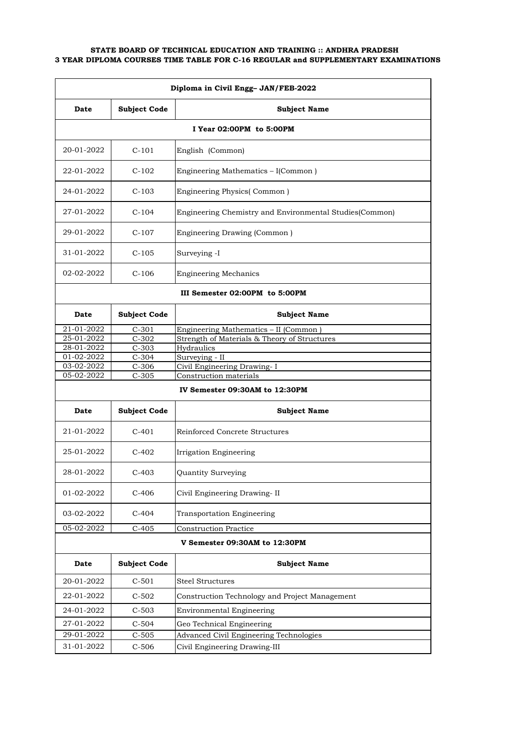| Diploma in Civil Engg- JAN/FEB-2022 |                     |                                                          |
|-------------------------------------|---------------------|----------------------------------------------------------|
| Date                                | <b>Subject Code</b> | <b>Subject Name</b>                                      |
|                                     |                     | I Year 02:00PM to 5:00PM                                 |
| 20-01-2022                          | $C-101$             | English (Common)                                         |
| 22-01-2022                          | $C-102$             | Engineering Mathematics - I(Common)                      |
| 24-01-2022                          | $C-103$             | Engineering Physics(Common)                              |
| 27-01-2022                          | $C-104$             | Engineering Chemistry and Environmental Studies (Common) |
| 29-01-2022                          | $C-107$             | Engineering Drawing (Common)                             |
| 31-01-2022                          | $C-105$             | Surveying -I                                             |
| 02-02-2022                          | $C-106$             | <b>Engineering Mechanics</b>                             |
|                                     |                     | III Semester 02:00PM to 5:00PM                           |
| Date                                | <b>Subject Code</b> | <b>Subject Name</b>                                      |
| 21-01-2022                          | $C-301$             | Engineering Mathematics - II (Common)                    |
| 25-01-2022                          | $C-302$             | Strength of Materials & Theory of Structures             |
| 28-01-2022                          | $C-303$             | Hydraulics                                               |
| 01-02-2022                          | $C-304$             | Surveying - II                                           |
| 03-02-2022                          | $C-306$             | Civil Engineering Drawing- I                             |
| 05-02-2022                          | $C-305$             | Construction materials                                   |
|                                     |                     | IV Semester 09:30AM to 12:30PM                           |
| Date                                | <b>Subject Code</b> | <b>Subject Name</b>                                      |
| 21-01-2022                          | $C-401$             | Reinforced Concrete Structures                           |
| 25-01-2022                          | $C-402$             | Irrigation Engineering                                   |
| 28-01-2022                          | $C-403$             | Quantity Surveying                                       |
| 01-02-2022                          | $C-406$             | Civil Engineering Drawing-II                             |
| 03-02-2022                          | $C-404$             | Transportation Engineering                               |
| 05-02-2022                          | $C-405$             | <b>Construction Practice</b>                             |
| V Semester 09:30AM to 12:30PM       |                     |                                                          |
| Date                                | <b>Subject Code</b> | <b>Subject Name</b>                                      |
| 20-01-2022                          | $C-501$             | <b>Steel Structures</b>                                  |
| 22-01-2022                          | $C-502$             | Construction Technology and Project Management           |
| 24-01-2022                          | $C-503$             | <b>Environmental Engineering</b>                         |
| 27-01-2022                          | $C-504$             | Geo Technical Engineering                                |
| 29-01-2022                          | $C-505$             | Advanced Civil Engineering Technologies                  |
| 31-01-2022                          | $C-506$             | Civil Engineering Drawing-III                            |
|                                     |                     |                                                          |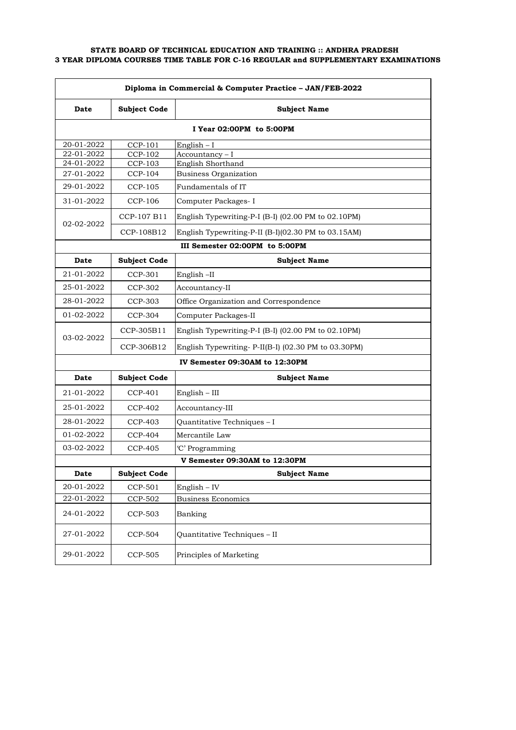| Diploma in Commercial & Computer Practice - JAN/FEB-2022 |                     |                                                     |
|----------------------------------------------------------|---------------------|-----------------------------------------------------|
| Date                                                     | <b>Subject Code</b> | <b>Subject Name</b>                                 |
|                                                          |                     | I Year 02:00PM to 5:00PM                            |
| 20-01-2022                                               | CCP-101             | English $-1$                                        |
| $22 - 01 - 2022$                                         | <b>CCP-102</b>      | Accountancy-I                                       |
| 24-01-2022                                               | CCP-103             | English Shorthand                                   |
| 27-01-2022                                               | CCP-104             | <b>Business Organization</b>                        |
| 29-01-2022                                               | <b>CCP-105</b>      | Fundamentals of IT                                  |
| 31-01-2022                                               | CCP-106             | Computer Packages- I                                |
| 02-02-2022                                               | CCP-107 B11         | English Typewriting-P-I (B-I) (02.00 PM to 02.10PM) |
|                                                          | CCP-108B12          | English Typewriting-P-II (B-I)(02.30 PM to 03.15AM) |
|                                                          |                     | III Semester 02:00PM to 5:00PM                      |
| Date                                                     | <b>Subject Code</b> | <b>Subject Name</b>                                 |
| 21-01-2022                                               | CCP-301             | English-II                                          |
| 25-01-2022                                               | CCP-302             | Accountancy-II                                      |
| 28-01-2022                                               | CCP-303             | Office Organization and Correspondence              |
| 01-02-2022                                               | CCP-304             | Computer Packages-II                                |
| 03-02-2022                                               | CCP-305B11          | English Typewriting-P-I (B-I) (02.00 PM to 02.10PM) |
|                                                          | CCP-306B12          | English Typewriting-P-II(B-I) (02.30 PM to 03.30PM) |
|                                                          |                     | IV Semester 09:30AM to 12:30PM                      |
| Date                                                     | <b>Subject Code</b> | <b>Subject Name</b>                                 |
| 21-01-2022                                               | CCP-401             | $English - III$                                     |
| 25-01-2022                                               | CCP-402             | Accountancy-III                                     |
| 28-01-2022                                               | <b>CCP-403</b>      | Quantitative Techniques - I                         |
| 01-02-2022                                               | CCP-404             | Mercantile Law                                      |
| 03-02-2022                                               | CCP-405             | 'C' Programming                                     |
|                                                          |                     | V Semester 09:30AM to 12:30PM                       |
| Date                                                     | <b>Subject Code</b> | <b>Subject Name</b>                                 |
| 20-01-2022                                               | CCP-501             | English $-$ IV                                      |
| 22-01-2022                                               | CCP-502             | <b>Business Economics</b>                           |
| 24-01-2022                                               | <b>CCP-503</b>      | Banking                                             |
| 27-01-2022                                               | <b>CCP-504</b>      | Quantitative Techniques - II                        |
| 29-01-2022                                               | <b>CCP-505</b>      | Principles of Marketing                             |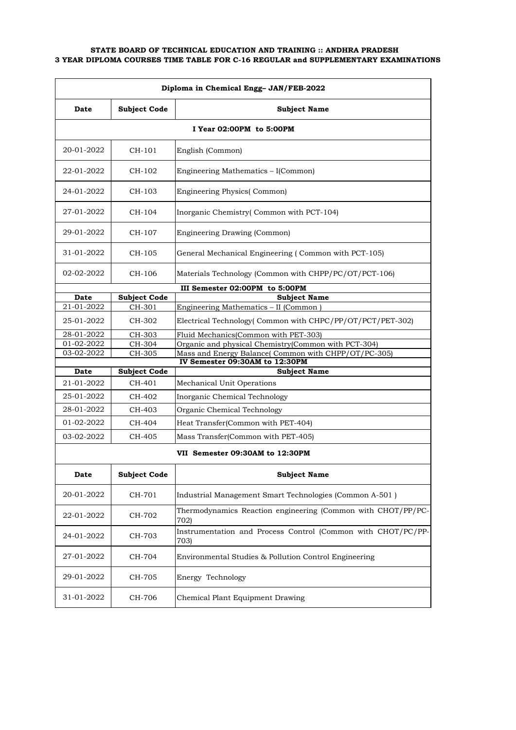| Diploma in Chemical Engg- JAN/FEB-2022 |                     |                                                                                                            |
|----------------------------------------|---------------------|------------------------------------------------------------------------------------------------------------|
| Date                                   | <b>Subject Code</b> | <b>Subject Name</b>                                                                                        |
|                                        |                     | I Year 02:00PM to 5:00PM                                                                                   |
| 20-01-2022                             | CH-101              | English (Common)                                                                                           |
| 22-01-2022                             | CH-102              | Engineering Mathematics - I(Common)                                                                        |
| 24-01-2022                             | CH-103              | <b>Engineering Physics</b> (Common)                                                                        |
| 27-01-2022                             | CH-104              | Inorganic Chemistry(Common with PCT-104)                                                                   |
| 29-01-2022                             | CH-107              | Engineering Drawing (Common)                                                                               |
| 31-01-2022                             | CH-105              | General Mechanical Engineering (Common with PCT-105)                                                       |
| 02-02-2022                             | CH-106              | Materials Technology (Common with CHPP/PC/OT/PCT-106)                                                      |
|                                        |                     | III Semester 02:00PM to 5:00PM                                                                             |
| Date                                   | <b>Subject Code</b> | <b>Subject Name</b>                                                                                        |
| 21-01-2022                             | CH-301              | Engineering Mathematics - II (Common)                                                                      |
| 25-01-2022                             | CH-302              | Electrical Technology (Common with CHPC/PP/OT/PCT/PET-302)                                                 |
| 28-01-2022                             | CH-303              | Fluid Mechanics (Common with PET-303)                                                                      |
| 01-02-2022<br>03-02-2022               | CH-304<br>CH-305    | Organic and physical Chemistry(Common with PCT-304)<br>Mass and Energy Balance(Common with CHPP/OT/PC-305) |
|                                        |                     | IV Semester 09:30AM to 12:30PM                                                                             |
| Date                                   | <b>Subject Code</b> | <b>Subject Name</b>                                                                                        |
| 21-01-2022                             | CH-401              | Mechanical Unit Operations                                                                                 |
| 25-01-2022                             | CH-402              | Inorganic Chemical Technology                                                                              |
| 28-01-2022                             | CH-403              | Organic Chemical Technology                                                                                |
| 01-02-2022                             | CH-404              | Heat Transfer(Common with PET-404)                                                                         |
| 03-02-2022                             | CH-405              | Mass Transfer(Common with PET-405)                                                                         |
|                                        |                     | VII Semester 09:30AM to 12:30PM                                                                            |
| Date                                   | <b>Subject Code</b> | <b>Subject Name</b>                                                                                        |
| 20-01-2022                             | CH-701              | Industrial Management Smart Technologies (Common A-501)                                                    |
| 22-01-2022                             | CH-702              | Thermodynamics Reaction engineering (Common with CHOT/PP/PC-<br>702)                                       |
| 24-01-2022                             | CH-703              | Instrumentation and Process Control (Common with CHOT/PC/PP-<br>703)                                       |
| 27-01-2022                             | CH-704              | Environmental Studies & Pollution Control Engineering                                                      |
| 29-01-2022                             | CH-705              | Energy Technology                                                                                          |
| 31-01-2022                             | CH-706              | Chemical Plant Equipment Drawing                                                                           |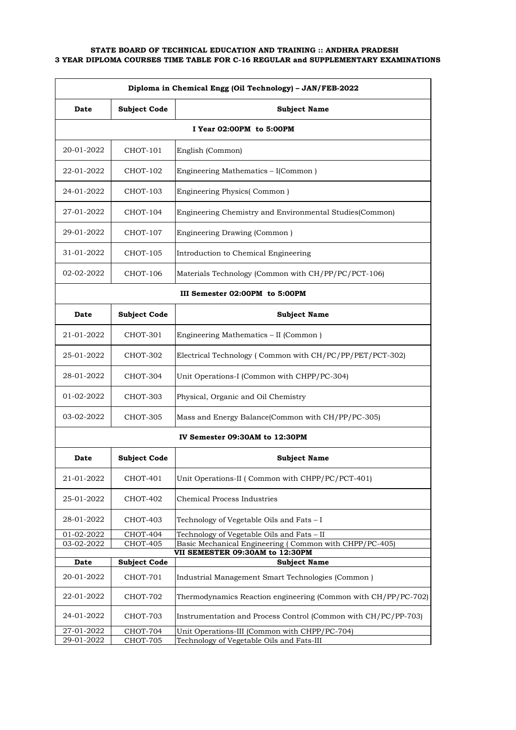| Diploma in Chemical Engg (Oil Technology) - JAN/FEB-2022 |                                |                                                                                           |  |
|----------------------------------------------------------|--------------------------------|-------------------------------------------------------------------------------------------|--|
| Date                                                     | <b>Subject Code</b>            | <b>Subject Name</b>                                                                       |  |
|                                                          |                                | I Year 02:00PM to 5:00PM                                                                  |  |
| 20-01-2022                                               | CHOT-101                       | English (Common)                                                                          |  |
| 22-01-2022                                               | CHOT-102                       | Engineering Mathematics - I(Common)                                                       |  |
| 24-01-2022                                               | CHOT-103                       | Engineering Physics(Common)                                                               |  |
| 27-01-2022                                               | CHOT-104                       | Engineering Chemistry and Environmental Studies(Common)                                   |  |
| 29-01-2022                                               | <b>CHOT-107</b>                | Engineering Drawing (Common)                                                              |  |
| 31-01-2022                                               | CHOT-105                       | Introduction to Chemical Engineering                                                      |  |
| 02-02-2022                                               | CHOT-106                       | Materials Technology (Common with CH/PP/PC/PCT-106)                                       |  |
|                                                          |                                | III Semester 02:00PM to 5:00PM                                                            |  |
| Date                                                     | <b>Subject Code</b>            | <b>Subject Name</b>                                                                       |  |
| 21-01-2022                                               | CHOT-301                       | Engineering Mathematics - II (Common)                                                     |  |
| 25-01-2022                                               | CHOT-302                       | Electrical Technology (Common with CH/PC/PP/PET/PCT-302)                                  |  |
| 28-01-2022                                               | CHOT-304                       | Unit Operations-I (Common with CHPP/PC-304)                                               |  |
| 01-02-2022                                               | CHOT-303                       | Physical, Organic and Oil Chemistry                                                       |  |
| 03-02-2022                                               | CHOT-305                       | Mass and Energy Balance(Common with CH/PP/PC-305)                                         |  |
|                                                          | IV Semester 09:30AM to 12:30PM |                                                                                           |  |
| Date                                                     | <b>Subject Code</b>            | <b>Subject Name</b>                                                                       |  |
| 21-01-2022                                               | CHOT-401                       | Unit Operations-II (Common with CHPP/PC/PCT-401)                                          |  |
| 25-01-2022                                               | CHOT-402                       | Chemical Process Industries                                                               |  |
| 28-01-2022                                               | CHOT-403                       | Technology of Vegetable Oils and Fats - I                                                 |  |
| 01-02-2022                                               | CHOT-404                       | Technology of Vegetable Oils and Fats - II                                                |  |
| 03-02-2022                                               | <b>CHOT-405</b>                | Basic Mechanical Engineering (Common with CHPP/PC-405)<br>VII SEMESTER 09:30AM to 12:30PM |  |
| Date                                                     | <b>Subject Code</b>            | <b>Subject Name</b>                                                                       |  |
| 20-01-2022                                               | CHOT-701                       | Industrial Management Smart Technologies (Common)                                         |  |
| 22-01-2022                                               | CHOT-702                       | Thermodynamics Reaction engineering (Common with CH/PP/PC-702)                            |  |
| 24-01-2022                                               | CHOT-703                       | Instrumentation and Process Control (Common with CH/PC/PP-703)                            |  |
| 27-01-2022<br>29-01-2022                                 | CHOT-704                       | Unit Operations-III (Common with CHPP/PC-704)                                             |  |
|                                                          | CHOT-705                       | Technology of Vegetable Oils and Fats-III                                                 |  |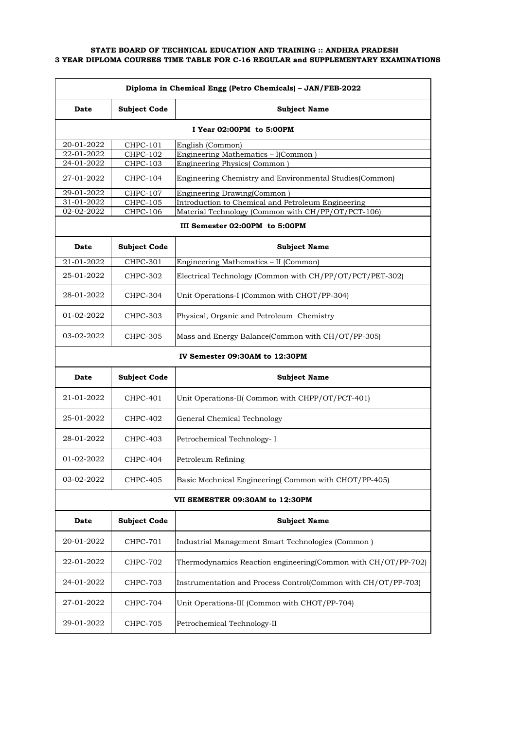| Diploma in Chemical Engg (Petro Chemicals) - JAN/FEB-2022 |                                 |                                                               |  |
|-----------------------------------------------------------|---------------------------------|---------------------------------------------------------------|--|
| Date                                                      | <b>Subject Code</b>             | <b>Subject Name</b>                                           |  |
|                                                           | I Year 02:00PM to 5:00PM        |                                                               |  |
| 20-01-2022                                                | <b>CHPC-101</b>                 | English (Common)                                              |  |
| 22-01-2022                                                | <b>CHPC-102</b>                 | Engineering Mathematics - I(Common)                           |  |
| 24-01-2022                                                | <b>CHPC-103</b>                 | Engineering Physics(Common                                    |  |
| 27-01-2022                                                | CHPC-104                        | Engineering Chemistry and Environmental Studies(Common)       |  |
| 29-01-2022                                                | CHPC-107                        | Engineering Drawing(Common)                                   |  |
| 31-01-2022                                                | <b>CHPC-105</b>                 | Introduction to Chemical and Petroleum Engineering            |  |
| 02-02-2022                                                | CHPC-106                        | Material Technology (Common with CH/PP/OT/PCT-106)            |  |
|                                                           |                                 | III Semester 02:00PM to 5:00PM                                |  |
| Date                                                      | <b>Subject Code</b>             | <b>Subject Name</b>                                           |  |
| 21-01-2022                                                | CHPC-301                        | Engineering Mathematics - II (Common)                         |  |
| 25-01-2022                                                | CHPC-302                        | Electrical Technology (Common with CH/PP/OT/PCT/PET-302)      |  |
| 28-01-2022                                                | CHPC-304                        | Unit Operations-I (Common with CHOT/PP-304)                   |  |
| 01-02-2022                                                | CHPC-303                        | Physical, Organic and Petroleum Chemistry                     |  |
| 03-02-2022                                                | CHPC-305                        | Mass and Energy Balance (Common with CH/OT/PP-305)            |  |
|                                                           | IV Semester 09:30AM to 12:30PM  |                                                               |  |
| Date                                                      | <b>Subject Code</b>             | <b>Subject Name</b>                                           |  |
| 21-01-2022                                                | CHPC-401                        | Unit Operations-II( Common with CHPP/OT/PCT-401)              |  |
| 25-01-2022                                                | CHPC-402                        | General Chemical Technology                                   |  |
| 28-01-2022                                                | CHPC-403                        | Petrochemical Technology- I                                   |  |
| 01-02-2022                                                | CHPC-404                        | Petroleum Refining                                            |  |
| 03-02-2022                                                | <b>CHPC-405</b>                 | Basic Mechnical Engineering(Common with CHOT/PP-405)          |  |
|                                                           | VII SEMESTER 09:30AM to 12:30PM |                                                               |  |
| Date                                                      | <b>Subject Code</b>             | <b>Subject Name</b>                                           |  |
| 20-01-2022                                                | CHPC-701                        | Industrial Management Smart Technologies (Common)             |  |
| 22-01-2022                                                | <b>CHPC-702</b>                 | Thermodynamics Reaction engineering(Common with CH/OT/PP-702) |  |
| 24-01-2022                                                | <b>CHPC-703</b>                 | Instrumentation and Process Control(Common with CH/OT/PP-703) |  |
| 27-01-2022                                                | CHPC-704                        | Unit Operations-III (Common with CHOT/PP-704)                 |  |
| 29-01-2022                                                | <b>CHPC-705</b>                 | Petrochemical Technology-II                                   |  |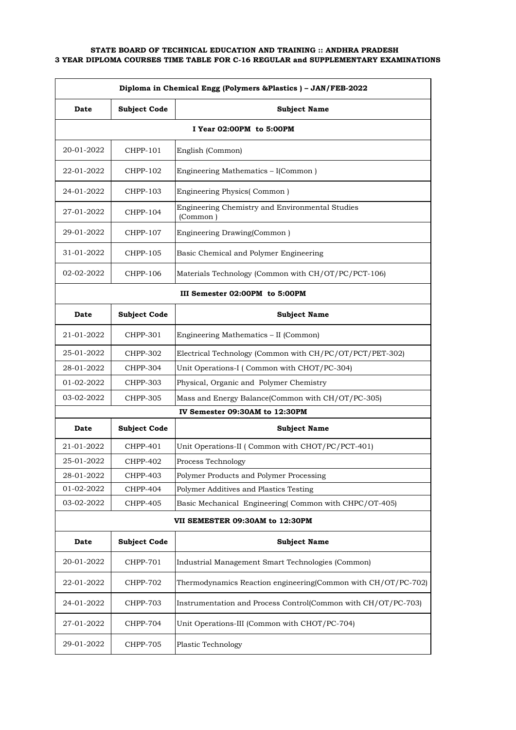| Diploma in Chemical Engg (Polymers & Plastics) - JAN/FEB-2022 |                                |                                                               |  |
|---------------------------------------------------------------|--------------------------------|---------------------------------------------------------------|--|
| Date                                                          | <b>Subject Code</b>            | <b>Subject Name</b>                                           |  |
|                                                               |                                | I Year 02:00PM to 5:00PM                                      |  |
| 20-01-2022                                                    | CHPP-101                       | English (Common)                                              |  |
| 22-01-2022                                                    | CHPP-102                       | Engineering Mathematics – I(Common)                           |  |
| 24-01-2022                                                    | CHPP-103                       | Engineering Physics(Common)                                   |  |
| 27-01-2022                                                    | CHPP-104                       | Engineering Chemistry and Environmental Studies<br>(Common)   |  |
| 29-01-2022                                                    | CHPP-107                       | Engineering Drawing(Common)                                   |  |
| 31-01-2022                                                    | CHPP-105                       | Basic Chemical and Polymer Engineering                        |  |
| 02-02-2022                                                    | CHPP-106                       | Materials Technology (Common with CH/OT/PC/PCT-106)           |  |
|                                                               | III Semester 02:00PM to 5:00PM |                                                               |  |
| Date                                                          | <b>Subject Code</b>            | <b>Subject Name</b>                                           |  |
| 21-01-2022                                                    | CHPP-301                       | Engineering Mathematics - II (Common)                         |  |
| 25-01-2022                                                    | CHPP-302                       | Electrical Technology (Common with CH/PC/OT/PCT/PET-302)      |  |
| 28-01-2022                                                    | CHPP-304                       | Unit Operations-I (Common with CHOT/PC-304)                   |  |
| 01-02-2022                                                    | CHPP-303                       | Physical, Organic and Polymer Chemistry                       |  |
| 03-02-2022                                                    | CHPP-305                       | Mass and Energy Balance(Common with CH/OT/PC-305)             |  |
|                                                               |                                | IV Semester 09:30AM to 12:30PM                                |  |
| Date                                                          | <b>Subject Code</b>            | <b>Subject Name</b>                                           |  |
| 21-01-2022                                                    | CHPP-401                       | Unit Operations-II (Common with CHOT/PC/PCT-401)              |  |
| 25-01-2022                                                    | CHPP-402                       | Process Technology                                            |  |
| 28-01-2022                                                    | CHPP-403                       | Polymer Products and Polymer Processing                       |  |
| 01-02-2022                                                    | CHPP-404                       | Polymer Additives and Plastics Testing                        |  |
| 03-02-2022                                                    | <b>CHPP-405</b>                | Basic Mechanical Engineering(Common with CHPC/OT-405)         |  |
|                                                               |                                | VII SEMESTER 09:30AM to 12:30PM                               |  |
| Date                                                          | <b>Subject Code</b>            | <b>Subject Name</b>                                           |  |
| 20-01-2022                                                    | <b>CHPP-701</b>                | Industrial Management Smart Technologies (Common)             |  |
| 22-01-2022                                                    | <b>CHPP-702</b>                | Thermodynamics Reaction engineering(Common with CH/OT/PC-702) |  |
| 24-01-2022                                                    | <b>CHPP-703</b>                | Instrumentation and Process Control(Common with CH/OT/PC-703) |  |
| 27-01-2022                                                    | <b>CHPP-704</b>                | Unit Operations-III (Common with CHOT/PC-704)                 |  |
| 29-01-2022                                                    | <b>CHPP-705</b>                | Plastic Technology                                            |  |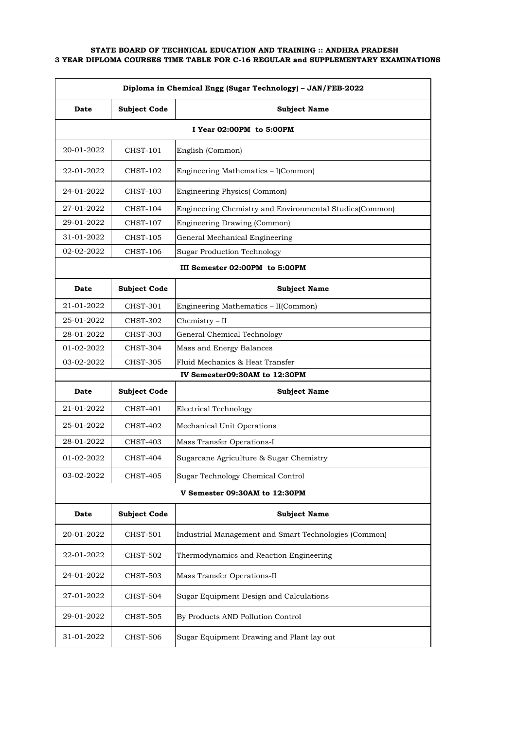| Diploma in Chemical Engg (Sugar Technology) - JAN/FEB-2022 |                               |                                                         |  |  |
|------------------------------------------------------------|-------------------------------|---------------------------------------------------------|--|--|
| Date                                                       | <b>Subject Code</b>           | <b>Subject Name</b>                                     |  |  |
|                                                            | I Year 02:00PM to 5:00PM      |                                                         |  |  |
| 20-01-2022                                                 | CHST-101                      | English (Common)                                        |  |  |
| 22-01-2022                                                 | CHST-102                      | Engineering Mathematics - I(Common)                     |  |  |
| 24-01-2022                                                 | CHST-103                      | <b>Engineering Physics</b> (Common)                     |  |  |
| 27-01-2022                                                 | CHST-104                      | Engineering Chemistry and Environmental Studies(Common) |  |  |
| 29-01-2022                                                 | CHST-107                      | Engineering Drawing (Common)                            |  |  |
| 31-01-2022                                                 | CHST-105                      | General Mechanical Engineering                          |  |  |
| 02-02-2022                                                 | CHST-106                      | <b>Sugar Production Technology</b>                      |  |  |
|                                                            |                               | III Semester 02:00PM to 5:00PM                          |  |  |
| Date                                                       | <b>Subject Code</b>           | <b>Subject Name</b>                                     |  |  |
| 21-01-2022                                                 | CHST-301                      | Engineering Mathematics - II(Common)                    |  |  |
| 25-01-2022                                                 | <b>CHST-302</b>               | $Chemistry - II$                                        |  |  |
| 28-01-2022                                                 | CHST-303                      | General Chemical Technology                             |  |  |
| 01-02-2022                                                 | CHST-304                      | Mass and Energy Balances                                |  |  |
| 03-02-2022                                                 | CHST-305                      | Fluid Mechanics & Heat Transfer                         |  |  |
|                                                            |                               | IV Semester09:30AM to 12:30PM                           |  |  |
| Date                                                       | <b>Subject Code</b>           | <b>Subject Name</b>                                     |  |  |
| 21-01-2022                                                 | CHST-401                      | <b>Electrical Technology</b>                            |  |  |
| 25-01-2022                                                 | CHST-402                      | Mechanical Unit Operations                              |  |  |
| 28-01-2022                                                 | CHST-403                      | Mass Transfer Operations-I                              |  |  |
| 01-02-2022                                                 | CHST-404                      | Sugarcane Agriculture & Sugar Chemistry                 |  |  |
| 03-02-2022                                                 | <b>CHST-405</b>               | Sugar Technology Chemical Control                       |  |  |
|                                                            | V Semester 09:30AM to 12:30PM |                                                         |  |  |
| Date                                                       | <b>Subject Code</b>           | <b>Subject Name</b>                                     |  |  |
| 20-01-2022                                                 | CHST-501                      | Industrial Management and Smart Technologies (Common)   |  |  |
| 22-01-2022                                                 | CHST-502                      | Thermodynamics and Reaction Engineering                 |  |  |
| 24-01-2022                                                 | CHST-503                      | Mass Transfer Operations-II                             |  |  |
| 27-01-2022                                                 | <b>CHST-504</b>               | Sugar Equipment Design and Calculations                 |  |  |
| 29-01-2022                                                 | CHST-505                      | By Products AND Pollution Control                       |  |  |
| 31-01-2022                                                 | <b>CHST-506</b>               | Sugar Equipment Drawing and Plant lay out               |  |  |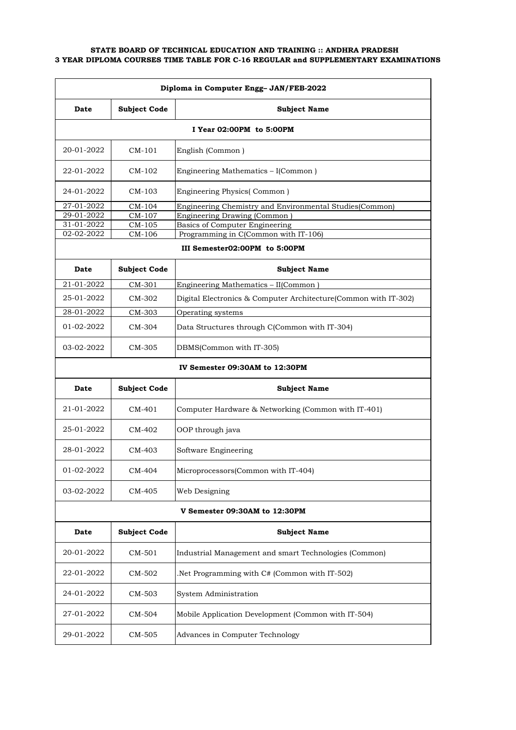| Diploma in Computer Engg- JAN/FEB-2022 |                          |                                                                 |  |  |
|----------------------------------------|--------------------------|-----------------------------------------------------------------|--|--|
| Date                                   | <b>Subject Code</b>      | <b>Subject Name</b>                                             |  |  |
|                                        | I Year 02:00PM to 5:00PM |                                                                 |  |  |
| 20-01-2022                             | $CM-101$                 | English (Common)                                                |  |  |
| 22-01-2022                             | $CM-102$                 | Engineering Mathematics - I(Common)                             |  |  |
| 24-01-2022                             | CM-103                   | Engineering Physics(Common)                                     |  |  |
| 27-01-2022                             | CM-104                   | Engineering Chemistry and Environmental Studies (Common)        |  |  |
| 29-01-2022                             | CM-107                   | Engineering Drawing (Common)                                    |  |  |
| 31-01-2022                             | CM-105                   | Basics of Computer Engineering                                  |  |  |
| 02-02-2022                             | CM-106                   | Programming in C(Common with IT-106)                            |  |  |
|                                        |                          | III Semester02:00PM to 5:00PM                                   |  |  |
| Date                                   | <b>Subject Code</b>      | <b>Subject Name</b>                                             |  |  |
| 21-01-2022                             | CM-301                   | Engineering Mathematics - II(Common                             |  |  |
| 25-01-2022                             | CM-302                   | Digital Electronics & Computer Architecture(Common with IT-302) |  |  |
| 28-01-2022                             | CM-303                   | Operating systems                                               |  |  |
| 01-02-2022                             | CM-304                   | Data Structures through C(Common with IT-304)                   |  |  |
| 03-02-2022                             | CM-305                   | DBMS(Common with IT-305)                                        |  |  |
|                                        |                          | IV Semester 09:30AM to 12:30PM                                  |  |  |
| Date                                   | <b>Subject Code</b>      | <b>Subject Name</b>                                             |  |  |
| 21-01-2022                             | $CM-401$                 | Computer Hardware & Networking (Common with IT-401)             |  |  |
| 25-01-2022                             | CM-402                   | OOP through java                                                |  |  |
| 28-01-2022                             | CM-403                   | Software Engineering                                            |  |  |
| 01-02-2022                             | CM-404                   | Microprocessors(Common with IT-404)                             |  |  |
| 03-02-2022                             | CM-405                   | Web Designing                                                   |  |  |
|                                        |                          | V Semester 09:30AM to 12:30PM                                   |  |  |
| Date                                   | <b>Subject Code</b>      | <b>Subject Name</b>                                             |  |  |
| 20-01-2022                             | CM-501                   | Industrial Management and smart Technologies (Common)           |  |  |
| 22-01-2022                             | CM-502                   | Net Programming with C# (Common with IT-502).                   |  |  |
| 24-01-2022                             | CM-503                   | System Administration                                           |  |  |
| 27-01-2022                             | CM-504                   | Mobile Application Development (Common with IT-504)             |  |  |
| 29-01-2022                             | CM-505                   | Advances in Computer Technology                                 |  |  |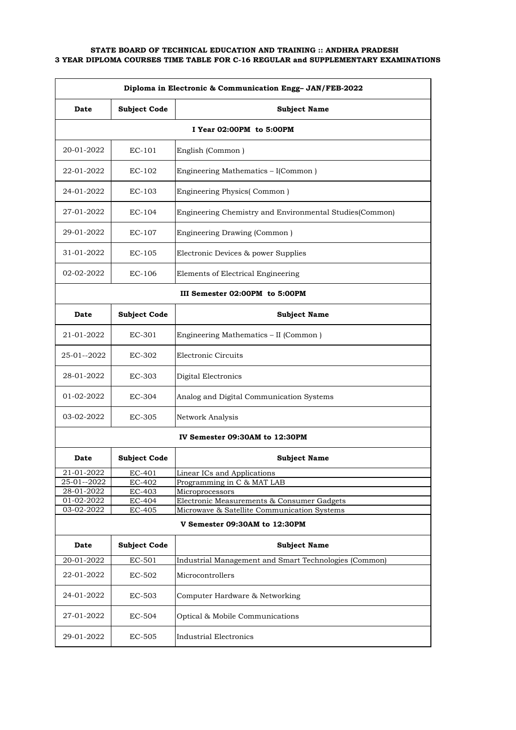| Diploma in Electronic & Communication Engg-JAN/FEB-2022 |                          |                                                               |  |  |
|---------------------------------------------------------|--------------------------|---------------------------------------------------------------|--|--|
| Date                                                    | <b>Subject Code</b>      | <b>Subject Name</b>                                           |  |  |
|                                                         | I Year 02:00PM to 5:00PM |                                                               |  |  |
| 20-01-2022                                              | $EC-101$                 | English (Common)                                              |  |  |
| 22-01-2022                                              | $EC-102$                 | Engineering Mathematics - I(Common)                           |  |  |
| 24-01-2022                                              | $EC-103$                 | Engineering Physics(Common)                                   |  |  |
| 27-01-2022                                              | $EC-104$                 | Engineering Chemistry and Environmental Studies(Common)       |  |  |
| 29-01-2022                                              | EC-107                   | Engineering Drawing (Common)                                  |  |  |
| 31-01-2022                                              | $EC-105$                 | Electronic Devices & power Supplies                           |  |  |
| 02-02-2022                                              | $EC-106$                 | Elements of Electrical Engineering                            |  |  |
|                                                         |                          | III Semester 02:00PM to 5:00PM                                |  |  |
| Date                                                    | <b>Subject Code</b>      | <b>Subject Name</b>                                           |  |  |
| 21-01-2022                                              | EC-301                   | Engineering Mathematics - II (Common)                         |  |  |
| 25-01--2022                                             | EC-302                   | Electronic Circuits                                           |  |  |
| 28-01-2022                                              | EC-303                   | Digital Electronics                                           |  |  |
| 01-02-2022                                              | EC-304                   | Analog and Digital Communication Systems                      |  |  |
| 03-02-2022                                              | EC-305                   | Network Analysis                                              |  |  |
|                                                         |                          | IV Semester 09:30AM to 12:30PM                                |  |  |
| Date                                                    | <b>Subject Code</b>      | <b>Subject Name</b>                                           |  |  |
| 21-01-2022                                              | EC-401                   | Linear ICs and Applications                                   |  |  |
| 25-01--2022                                             | EC-402                   | Programming in C & MAT LAB                                    |  |  |
| 28-01-2022<br>01-02-2022                                | EC-403<br>EC-404         | Microprocessors<br>Electronic Measurements & Consumer Gadgets |  |  |
| 03-02-2022                                              | EC-405                   | Microwave & Satellite Communication Systems                   |  |  |
| V Semester 09:30AM to 12:30PM                           |                          |                                                               |  |  |
| Date                                                    | <b>Subject Code</b>      | <b>Subject Name</b>                                           |  |  |
| 20-01-2022                                              | EC-501                   | Industrial Management and Smart Technologies (Common)         |  |  |
| 22-01-2022                                              | EC-502                   | Microcontrollers                                              |  |  |
| 24-01-2022                                              | EC-503                   | Computer Hardware & Networking                                |  |  |
| 27-01-2022                                              | EC-504                   | Optical & Mobile Communications                               |  |  |
| 29-01-2022                                              | EC-505                   | <b>Industrial Electronics</b>                                 |  |  |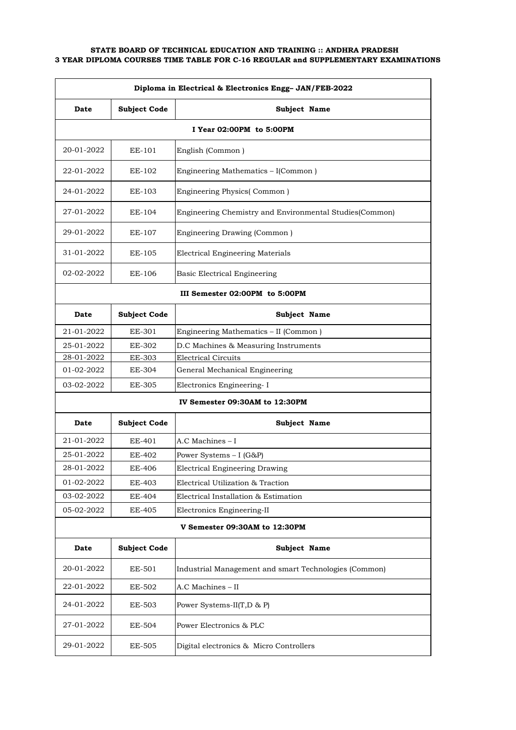| Diploma in Electrical & Electronics Engg-JAN/FEB-2022 |                               |                                                         |  |
|-------------------------------------------------------|-------------------------------|---------------------------------------------------------|--|
| Date                                                  | <b>Subject Code</b>           | Subject Name                                            |  |
| I Year 02:00PM to 5:00PM                              |                               |                                                         |  |
| 20-01-2022                                            | EE-101                        | English (Common)                                        |  |
| 22-01-2022                                            | EE-102                        | Engineering Mathematics - I(Common)                     |  |
| 24-01-2022                                            | EE-103                        | Engineering Physics(Common)                             |  |
| 27-01-2022                                            | EE-104                        | Engineering Chemistry and Environmental Studies(Common) |  |
| 29-01-2022                                            | EE-107                        | Engineering Drawing (Common)                            |  |
| 31-01-2022                                            | EE-105                        | <b>Electrical Engineering Materials</b>                 |  |
| 02-02-2022                                            | EE-106                        | Basic Electrical Engineering                            |  |
|                                                       |                               | III Semester 02:00PM to 5:00PM                          |  |
| Date                                                  | <b>Subject Code</b>           | Subject Name                                            |  |
| 21-01-2022                                            | EE-301                        | Engineering Mathematics - II (Common)                   |  |
| 25-01-2022                                            | EE-302                        | D.C Machines & Measuring Instruments                    |  |
| 28-01-2022                                            | <b>EE-303</b>                 | <b>Electrical Circuits</b>                              |  |
| 01-02-2022                                            | <b>EE-304</b>                 | General Mechanical Engineering                          |  |
| 03-02-2022                                            | EE-305                        | Electronics Engineering-I                               |  |
|                                                       |                               | IV Semester 09:30AM to 12:30PM                          |  |
| Date                                                  | <b>Subject Code</b>           | Subject Name                                            |  |
| 21-01-2022                                            | EE-401                        | A.C Machines - I                                        |  |
| 25-01-2022                                            | EE-402                        | Power Systems $-$ I (G&P)                               |  |
| 28-01-2022                                            | <b>EE-406</b>                 | <b>Electrical Engineering Drawing</b>                   |  |
| 01-02-2022                                            | <b>EE-403</b>                 | Electrical Utilization & Traction                       |  |
| 03-02-2022                                            | EE-404                        | Electrical Installation & Estimation                    |  |
| 05-02-2022                                            | EE-405                        | Electronics Engineering-II                              |  |
|                                                       | V Semester 09:30AM to 12:30PM |                                                         |  |
| Date                                                  | <b>Subject Code</b>           | Subject Name                                            |  |
| 20-01-2022                                            | EE-501                        | Industrial Management and smart Technologies (Common)   |  |
| 22-01-2022                                            | <b>EE-502</b>                 | A.C Machines - II                                       |  |
| 24-01-2022                                            | <b>EE-503</b>                 | Power Systems-II(T,D & P)                               |  |
| 27-01-2022                                            | EE-504                        | Power Electronics & PLC                                 |  |
| 29-01-2022                                            | <b>EE-505</b>                 | Digital electronics & Micro Controllers                 |  |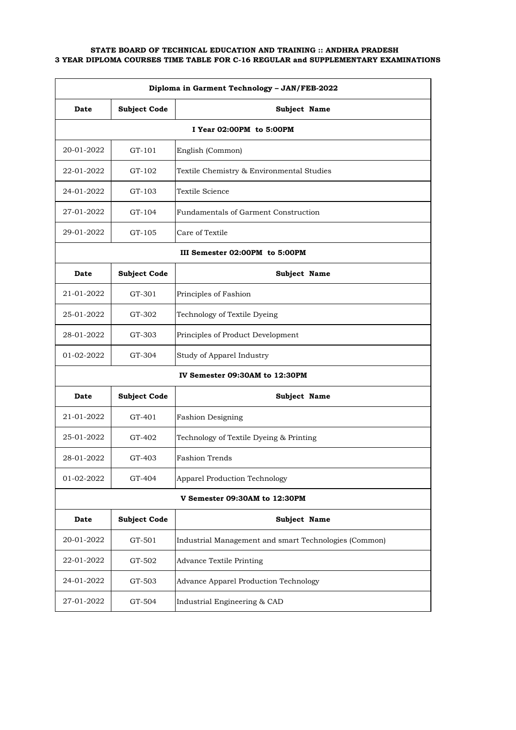| Diploma in Garment Technology - JAN/FEB-2022 |                               |                                                       |  |  |
|----------------------------------------------|-------------------------------|-------------------------------------------------------|--|--|
| Date                                         | <b>Subject Code</b>           | Subject Name                                          |  |  |
|                                              | I Year 02:00PM to 5:00PM      |                                                       |  |  |
| 20-01-2022                                   | GT-101                        | English (Common)                                      |  |  |
| 22-01-2022                                   | GT-102                        | Textile Chemistry & Environmental Studies             |  |  |
| 24-01-2022                                   | GT-103                        | Textile Science                                       |  |  |
| 27-01-2022                                   | GT-104                        | Fundamentals of Garment Construction                  |  |  |
| 29-01-2022                                   | GT-105                        | Care of Textile                                       |  |  |
|                                              |                               | III Semester 02:00PM to 5:00PM                        |  |  |
| Date                                         | <b>Subject Code</b>           | Subject Name                                          |  |  |
| 21-01-2022                                   | GT-301                        | Principles of Fashion                                 |  |  |
| 25-01-2022                                   | GT-302                        | Technology of Textile Dyeing                          |  |  |
| 28-01-2022                                   | GT-303                        | Principles of Product Development                     |  |  |
| 01-02-2022                                   | GT-304                        | Study of Apparel Industry                             |  |  |
|                                              |                               | IV Semester 09:30AM to 12:30PM                        |  |  |
| Date                                         | <b>Subject Code</b>           | Subject Name                                          |  |  |
| 21-01-2022                                   | GT-401                        | <b>Fashion Designing</b>                              |  |  |
| 25-01-2022                                   | GT-402                        | Technology of Textile Dyeing & Printing               |  |  |
| 28-01-2022                                   | GT-403                        | <b>Fashion Trends</b>                                 |  |  |
| 01-02-2022                                   | GT-404                        | <b>Apparel Production Technology</b>                  |  |  |
|                                              | V Semester 09:30AM to 12:30PM |                                                       |  |  |
| Date                                         | <b>Subject Code</b>           | Subject Name                                          |  |  |
| 20-01-2022                                   | GT-501                        | Industrial Management and smart Technologies (Common) |  |  |
| 22-01-2022                                   | GT-502                        | <b>Advance Textile Printing</b>                       |  |  |
| 24-01-2022                                   | GT-503                        | Advance Apparel Production Technology                 |  |  |
| 27-01-2022                                   | GT-504                        | Industrial Engineering & CAD                          |  |  |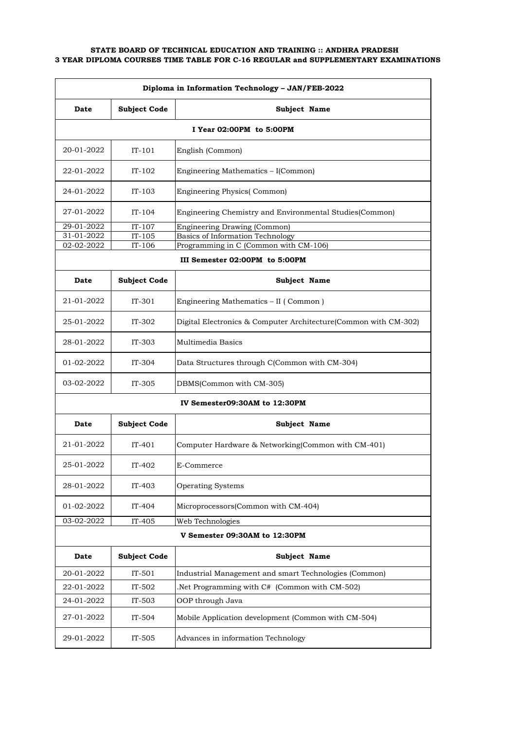| Diploma in Information Technology - JAN/FEB-2022 |                               |                                                                  |  |
|--------------------------------------------------|-------------------------------|------------------------------------------------------------------|--|
| Date                                             | <b>Subject Code</b>           | Subject Name                                                     |  |
| I Year 02:00PM to 5:00PM                         |                               |                                                                  |  |
| 20-01-2022                                       | $IT-101$                      | English (Common)                                                 |  |
| 22-01-2022                                       | $IT-102$                      | Engineering Mathematics - I(Common)                              |  |
| 24-01-2022                                       | $IT-103$                      | Engineering Physics(Common)                                      |  |
| 27-01-2022                                       | $IT-104$                      | Engineering Chemistry and Environmental Studies(Common)          |  |
| 29-01-2022                                       | $IT-107$                      | Engineering Drawing (Common)                                     |  |
| 31-01-2022                                       | $IT-105$                      | Basics of Information Technology                                 |  |
| 02-02-2022                                       | $IT-106$                      | Programming in C (Common with CM-106)                            |  |
|                                                  |                               | III Semester 02:00PM to 5:00PM                                   |  |
| Date                                             | <b>Subject Code</b>           | Subject Name                                                     |  |
| 21-01-2022                                       | $IT-301$                      | Engineering Mathematics - II (Common)                            |  |
| 25-01-2022                                       | $IT-302$                      | Digital Electronics & Computer Architecture (Common with CM-302) |  |
| 28-01-2022                                       | IT-303                        | Multimedia Basics                                                |  |
| 01-02-2022                                       | IT-304                        | Data Structures through C(Common with CM-304)                    |  |
| 03-02-2022                                       | $IT-305$                      | DBMS(Common with CM-305)                                         |  |
|                                                  |                               | IV Semester09:30AM to 12:30PM                                    |  |
| Date                                             | <b>Subject Code</b>           | Subject Name                                                     |  |
| 21-01-2022                                       | IT-401                        | Computer Hardware & Networking(Common with CM-401)               |  |
| 25-01-2022                                       | IT-402                        | E-Commerce                                                       |  |
| 28-01-2022                                       | $IT-403$                      | <b>Operating Systems</b>                                         |  |
| 01-02-2022                                       | IT-404                        | Microprocessors(Common with CM-404)                              |  |
| 03-02-2022                                       | IT-405                        | Web Technologies                                                 |  |
|                                                  | V Semester 09:30AM to 12:30PM |                                                                  |  |
| Date                                             | <b>Subject Code</b>           | Subject Name                                                     |  |
| 20-01-2022                                       | $IT-501$                      | Industrial Management and smart Technologies (Common)            |  |
| 22-01-2022                                       | $IT-502$                      | Net Programming with C# (Common with CM-502).                    |  |
| 24-01-2022                                       | IT-503                        | OOP through Java                                                 |  |
| 27-01-2022                                       | IT-504                        | Mobile Application development (Common with CM-504)              |  |
| 29-01-2022                                       | IT-505                        | Advances in information Technology                               |  |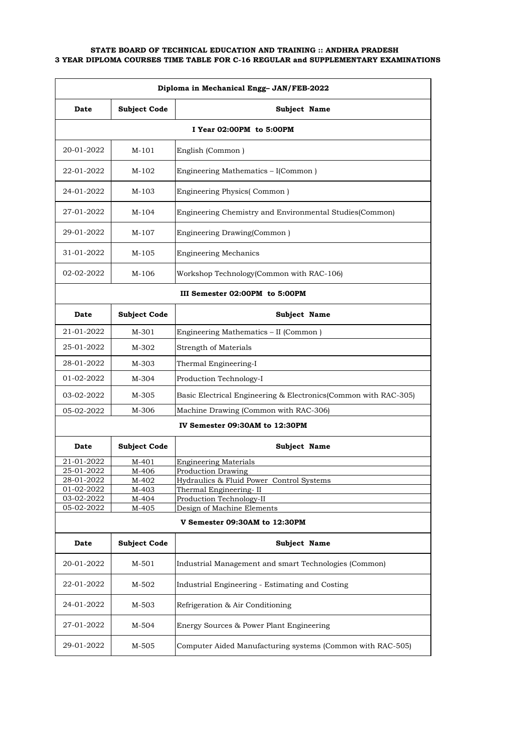| Diploma in Mechanical Engg- JAN/FEB-2022 |                               |                                                                 |  |
|------------------------------------------|-------------------------------|-----------------------------------------------------------------|--|
| Date                                     | <b>Subject Code</b>           | Subject Name                                                    |  |
|                                          |                               | I Year 02:00PM to 5:00PM                                        |  |
| 20-01-2022                               | M-101                         | English (Common)                                                |  |
| 22-01-2022                               | M-102                         | Engineering Mathematics - I(Common)                             |  |
| 24-01-2022                               | M-103                         | Engineering Physics(Common)                                     |  |
| 27-01-2022                               | M-104                         | Engineering Chemistry and Environmental Studies(Common)         |  |
| 29-01-2022                               | M-107                         | Engineering Drawing(Common)                                     |  |
| 31-01-2022                               | M-105                         | <b>Engineering Mechanics</b>                                    |  |
| 02-02-2022                               | M-106                         | Workshop Technology(Common with RAC-106)                        |  |
|                                          |                               | III Semester 02:00PM to 5:00PM                                  |  |
| Date                                     | <b>Subject Code</b>           | Subject Name                                                    |  |
| 21-01-2022                               | M-301                         | Engineering Mathematics - II (Common)                           |  |
| 25-01-2022                               | M-302                         | Strength of Materials                                           |  |
| 28-01-2022                               | M-303                         | Thermal Engineering-I                                           |  |
| 01-02-2022                               | M-304                         | Production Technology-I                                         |  |
| 03-02-2022                               | M-305                         | Basic Electrical Engineering & Electronics(Common with RAC-305) |  |
| 05-02-2022                               | M-306                         | Machine Drawing (Common with RAC-306)                           |  |
|                                          |                               | IV Semester 09:30AM to 12:30PM                                  |  |
| Date                                     | <b>Subject Code</b>           | Subject Name                                                    |  |
| 21-01-2022                               | M-401                         | <b>Engineering Materials</b>                                    |  |
| 25-01-2022<br>28-01-2022                 | M-406<br>M-402                | Production Drawing<br>Hydraulics & Fluid Power Control Systems  |  |
| 01-02-2022                               | M-403                         | Thermal Engineering-II                                          |  |
| 03-02-2022                               | M-404                         | Production Technology-II                                        |  |
| 05-02-2022                               | M-405                         | Design of Machine Elements                                      |  |
|                                          | V Semester 09:30AM to 12:30PM |                                                                 |  |
| Date                                     | <b>Subject Code</b>           | Subject Name                                                    |  |
| 20-01-2022                               | M-501                         | Industrial Management and smart Technologies (Common)           |  |
| 22-01-2022                               | M-502                         | Industrial Engineering - Estimating and Costing                 |  |
| 24-01-2022                               | M-503                         | Refrigeration & Air Conditioning                                |  |
| 27-01-2022                               | M-504                         | Energy Sources & Power Plant Engineering                        |  |
| 29-01-2022                               | M-505                         | Computer Aided Manufacturing systems (Common with RAC-505)      |  |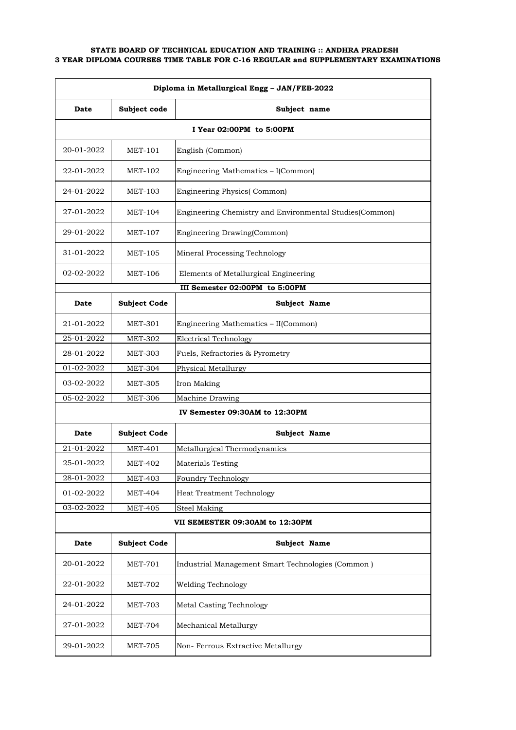| Diploma in Metallurgical Engg - JAN/FEB-2022 |                          |                                                         |  |
|----------------------------------------------|--------------------------|---------------------------------------------------------|--|
| Date                                         | Subject code             | Subject name                                            |  |
|                                              | I Year 02:00PM to 5:00PM |                                                         |  |
| 20-01-2022                                   | MET-101                  | English (Common)                                        |  |
| 22-01-2022                                   | MET-102                  | Engineering Mathematics - I(Common)                     |  |
| 24-01-2022                                   | <b>MET-103</b>           | Engineering Physics(Common)                             |  |
| 27-01-2022                                   | MET-104                  | Engineering Chemistry and Environmental Studies(Common) |  |
| 29-01-2022                                   | MET-107                  | Engineering Drawing(Common)                             |  |
| 31-01-2022                                   | MET-105                  | Mineral Processing Technology                           |  |
| 02-02-2022                                   | MET-106                  | Elements of Metallurgical Engineering                   |  |
|                                              |                          | III Semester 02:00PM to 5:00PM                          |  |
| Date                                         | <b>Subject Code</b>      | Subject Name                                            |  |
| 21-01-2022                                   | <b>MET-301</b>           | Engineering Mathematics - II(Common)                    |  |
| 25-01-2022                                   | <b>MET-302</b>           | <b>Electrical Technology</b>                            |  |
| 28-01-2022                                   | <b>MET-303</b>           | Fuels, Refractories & Pyrometry                         |  |
| 01-02-2022                                   | <b>MET-304</b>           | Physical Metallurgy                                     |  |
| 03-02-2022                                   | <b>MET-305</b>           | Iron Making                                             |  |
| 05-02-2022                                   | <b>MET-306</b>           | Machine Drawing                                         |  |
|                                              |                          | IV Semester 09:30AM to 12:30PM                          |  |
| Date                                         | <b>Subject Code</b>      | Subject Name                                            |  |
| 21-01-2022                                   | <b>MET-401</b>           | Metallurgical Thermodynamics                            |  |
| 25-01-2022                                   | <b>MET-402</b>           | Materials Testing                                       |  |
| 28-01-2022                                   | <b>MET-403</b>           | <b>Foundry Technology</b>                               |  |
| 01-02-2022                                   | <b>MET-404</b>           | Heat Treatment Technology                               |  |
| 03-02-2022                                   | <b>MET-405</b>           | Steel Making                                            |  |
|                                              |                          | VII SEMESTER 09:30AM to 12:30PM                         |  |
| Date                                         | <b>Subject Code</b>      | Subject Name                                            |  |
| 20-01-2022                                   | <b>MET-701</b>           | Industrial Management Smart Technologies (Common)       |  |
| 22-01-2022                                   | <b>MET-702</b>           | Welding Technology                                      |  |
| 24-01-2022                                   | <b>MET-703</b>           | <b>Metal Casting Technology</b>                         |  |
| 27-01-2022                                   | MET-704                  | Mechanical Metallurgy                                   |  |
| 29-01-2022                                   | <b>MET-705</b>           | Non-Ferrous Extractive Metallurgy                       |  |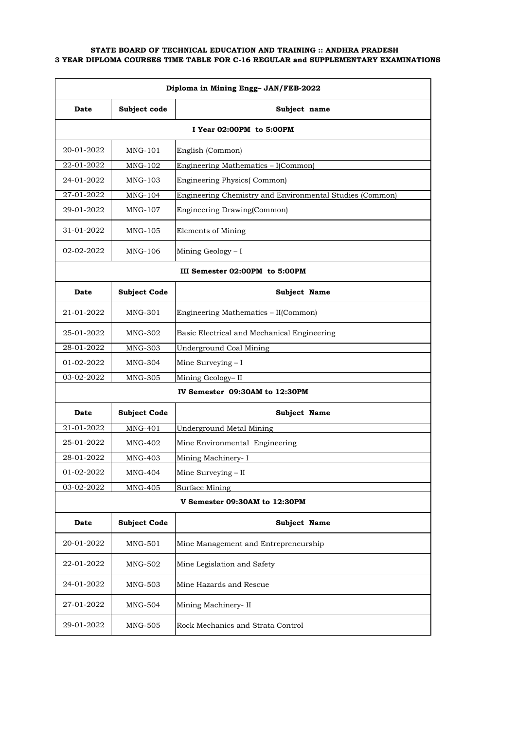| Diploma in Mining Engg- JAN/FEB-2022 |                               |                                                          |  |  |
|--------------------------------------|-------------------------------|----------------------------------------------------------|--|--|
| Date                                 | Subject code                  | Subject name                                             |  |  |
|                                      | I Year 02:00PM to 5:00PM      |                                                          |  |  |
| 20-01-2022                           | $MNG-101$                     | English (Common)                                         |  |  |
| 22-01-2022                           | MNG-102                       | Engineering Mathematics - I(Common)                      |  |  |
| 24-01-2022                           | MNG-103                       | <b>Engineering Physics</b> (Common)                      |  |  |
| 27-01-2022                           | MNG-104                       | Engineering Chemistry and Environmental Studies (Common) |  |  |
| 29-01-2022                           | MNG-107                       | Engineering Drawing(Common)                              |  |  |
| 31-01-2022                           | MNG-105                       | Elements of Mining                                       |  |  |
| 02-02-2022                           | MNG-106                       | Mining Geology - I                                       |  |  |
|                                      |                               | III Semester 02:00PM to 5:00PM                           |  |  |
| Date                                 | <b>Subject Code</b>           | Subject Name                                             |  |  |
| 21-01-2022                           | MNG-301                       | Engineering Mathematics - II(Common)                     |  |  |
| 25-01-2022                           | MNG-302                       | Basic Electrical and Mechanical Engineering              |  |  |
| 28-01-2022                           | MNG-303                       | <b>Underground Coal Mining</b>                           |  |  |
| 01-02-2022                           | MNG-304                       | Mine Surveying - I                                       |  |  |
| 03-02-2022                           | <b>MNG-305</b>                | Mining Geology-II                                        |  |  |
|                                      |                               | IV Semester 09:30AM to 12:30PM                           |  |  |
| Date                                 | <b>Subject Code</b>           | Subject Name                                             |  |  |
| 21-01-2022                           | MNG-401                       | <b>Underground Metal Mining</b>                          |  |  |
| 25-01-2022                           | MNG-402                       | Mine Environmental Engineering                           |  |  |
| 28-01-2022                           | <b>MNG-403</b>                | Mining Machinery- I                                      |  |  |
| 01-02-2022                           | <b>MNG-404</b>                | Mine Surveying - II                                      |  |  |
| 03-02-2022                           | <b>MNG-405</b>                | Surface Mining                                           |  |  |
|                                      | V Semester 09:30AM to 12:30PM |                                                          |  |  |
| Date                                 | <b>Subject Code</b>           | Subject Name                                             |  |  |
| 20-01-2022                           | MNG-501                       | Mine Management and Entrepreneurship                     |  |  |
| 22-01-2022                           | MNG-502                       | Mine Legislation and Safety                              |  |  |
| 24-01-2022                           | MNG-503                       | Mine Hazards and Rescue                                  |  |  |
| 27-01-2022                           | MNG-504                       | Mining Machinery- II                                     |  |  |
| 29-01-2022                           | MNG-505                       | Rock Mechanics and Strata Control                        |  |  |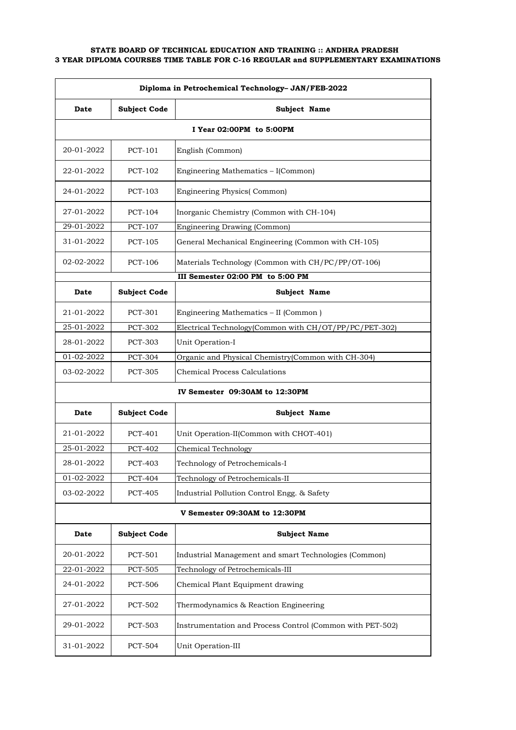| Diploma in Petrochemical Technology- JAN/FEB-2022 |                     |                                                           |
|---------------------------------------------------|---------------------|-----------------------------------------------------------|
| Date                                              | <b>Subject Code</b> | Subject Name                                              |
|                                                   |                     | I Year 02:00PM to 5:00PM                                  |
| 20-01-2022                                        | PCT-101             | English (Common)                                          |
| 22-01-2022                                        | PCT-102             | Engineering Mathematics - I(Common)                       |
| 24-01-2022                                        | <b>PCT-103</b>      | <b>Engineering Physics</b> (Common)                       |
| 27-01-2022                                        | PCT-104             | Inorganic Chemistry (Common with CH-104)                  |
| 29-01-2022                                        | <b>PCT-107</b>      | Engineering Drawing (Common)                              |
| 31-01-2022                                        | PCT-105             | General Mechanical Engineering (Common with CH-105)       |
| 02-02-2022                                        | PCT-106             | Materials Technology (Common with CH/PC/PP/OT-106)        |
|                                                   |                     | III Semester 02:00 PM to 5:00 PM                          |
| Date                                              | <b>Subject Code</b> | Subject Name                                              |
| 21-01-2022                                        | PCT-301             | Engineering Mathematics - II (Common)                     |
| 25-01-2022                                        | <b>PCT-302</b>      | Electrical Technology(Common with CH/OT/PP/PC/PET-302)    |
| 28-01-2022                                        | <b>PCT-303</b>      | Unit Operation-I                                          |
| 01-02-2022                                        | <b>PCT-304</b>      | Organic and Physical Chemistry(Common with CH-304)        |
| 03-02-2022                                        | PCT-305             | <b>Chemical Process Calculations</b>                      |
|                                                   |                     | IV Semester 09:30AM to 12:30PM                            |
| Date                                              | <b>Subject Code</b> | Subject Name                                              |
| 21-01-2022                                        | PCT-401             | Unit Operation-II(Common with CHOT-401)                   |
| 25-01-2022                                        | <b>PCT-402</b>      | Chemical Technology                                       |
| 28-01-2022                                        | <b>PCT-403</b>      | Technology of Petrochemicals-I                            |
| 01-02-2022                                        | <b>PCT-404</b>      | Technology of Petrochemicals-II                           |
| 03-02-2022                                        | PCT-405             | Industrial Pollution Control Engg. & Safety               |
|                                                   |                     | V Semester 09:30AM to 12:30PM                             |
| Date                                              | <b>Subject Code</b> | <b>Subject Name</b>                                       |
| 20-01-2022                                        | PCT-501             | Industrial Management and smart Technologies (Common)     |
| 22-01-2022                                        | PCT-505             | Technology of Petrochemicals-III                          |
| 24-01-2022                                        | <b>PCT-506</b>      | Chemical Plant Equipment drawing                          |
| 27-01-2022                                        | <b>PCT-502</b>      | Thermodynamics & Reaction Engineering                     |
| 29-01-2022                                        | PCT-503             | Instrumentation and Process Control (Common with PET-502) |
| 31-01-2022                                        | <b>PCT-504</b>      | Unit Operation-III                                        |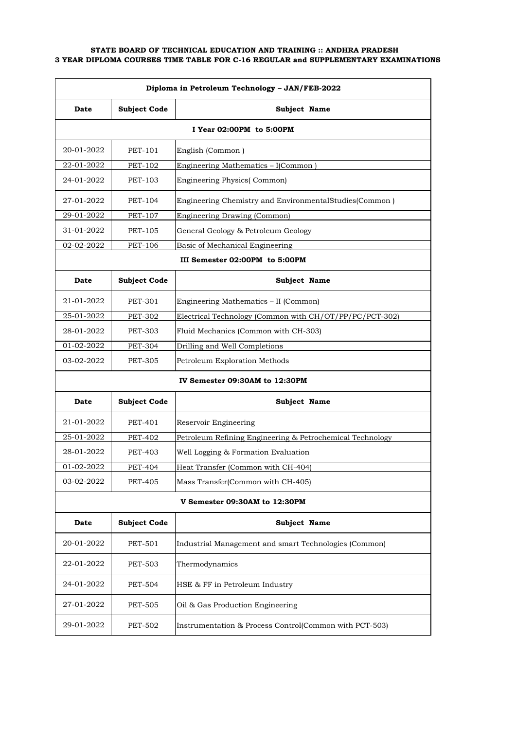| Diploma in Petroleum Technology - JAN/FEB-2022 |                               |                                                           |  |  |
|------------------------------------------------|-------------------------------|-----------------------------------------------------------|--|--|
| Date                                           | <b>Subject Code</b>           | Subject Name                                              |  |  |
|                                                | I Year 02:00PM to 5:00PM      |                                                           |  |  |
| 20-01-2022                                     | PET-101                       | English (Common)                                          |  |  |
| 22-01-2022                                     | <b>PET-102</b>                | Engineering Mathematics - I(Common)                       |  |  |
| 24-01-2022                                     | <b>PET-103</b>                | <b>Engineering Physics</b> (Common)                       |  |  |
| 27-01-2022                                     | PET-104                       | Engineering Chemistry and EnvironmentalStudies(Common)    |  |  |
| 29-01-2022                                     | <b>PET-107</b>                | Engineering Drawing (Common)                              |  |  |
| 31-01-2022                                     | PET-105                       | General Geology & Petroleum Geology                       |  |  |
| 02-02-2022                                     | <b>PET-106</b>                | Basic of Mechanical Engineering                           |  |  |
|                                                |                               | III Semester 02:00PM to 5:00PM                            |  |  |
| Date                                           | <b>Subject Code</b>           | Subject Name                                              |  |  |
| 21-01-2022                                     | PET-301                       | Engineering Mathematics - II (Common)                     |  |  |
| 25-01-2022                                     | <b>PET-302</b>                | Electrical Technology (Common with CH/OT/PP/PC/PCT-302)   |  |  |
| 28-01-2022                                     | <b>PET-303</b>                | Fluid Mechanics (Common with CH-303)                      |  |  |
| 01-02-2022                                     | <b>PET-304</b>                | Drilling and Well Completions                             |  |  |
| 03-02-2022                                     | <b>PET-305</b>                | Petroleum Exploration Methods                             |  |  |
|                                                |                               | IV Semester 09:30AM to 12:30PM                            |  |  |
| Date                                           | <b>Subject Code</b>           | Subject Name                                              |  |  |
| 21-01-2022                                     | PET-401                       | Reservoir Engineering                                     |  |  |
| 25-01-2022                                     | <b>PET-402</b>                | Petroleum Refining Engineering & Petrochemical Technology |  |  |
| 28-01-2022                                     | <b>PET-403</b>                | Well Logging & Formation Evaluation                       |  |  |
| 01-02-2022                                     | <b>PET-404</b>                | Heat Transfer (Common with CH-404)                        |  |  |
| 03-02-2022                                     | <b>PET-405</b>                | Mass Transfer(Common with CH-405)                         |  |  |
|                                                | V Semester 09:30AM to 12:30PM |                                                           |  |  |
| Date                                           | <b>Subject Code</b>           | Subject Name                                              |  |  |
| 20-01-2022                                     | <b>PET-501</b>                | Industrial Management and smart Technologies (Common)     |  |  |
| 22-01-2022                                     | PET-503                       | Thermodynamics                                            |  |  |
| 24-01-2022                                     | <b>PET-504</b>                | HSE & FF in Petroleum Industry                            |  |  |
| 27-01-2022                                     | <b>PET-505</b>                | Oil & Gas Production Engineering                          |  |  |
| 29-01-2022                                     | <b>PET-502</b>                | Instrumentation & Process Control(Common with PCT-503)    |  |  |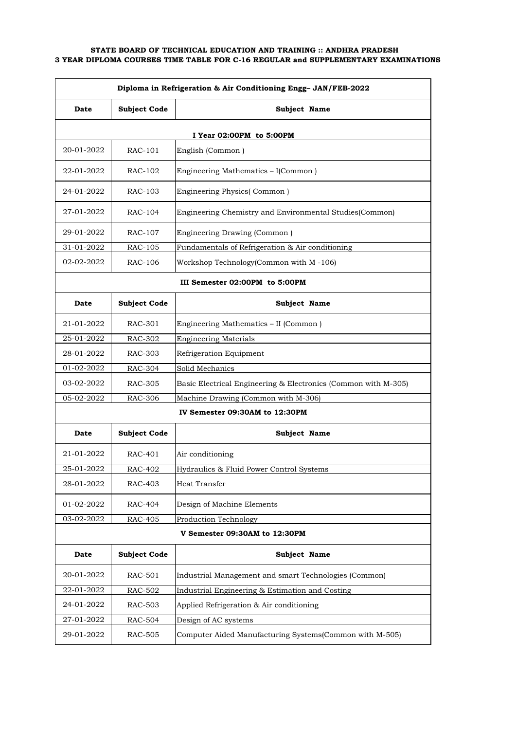| Diploma in Refrigeration & Air Conditioning Engg- JAN/FEB-2022 |                          |                                                                |  |  |
|----------------------------------------------------------------|--------------------------|----------------------------------------------------------------|--|--|
| Date                                                           | <b>Subject Code</b>      | Subject Name                                                   |  |  |
|                                                                | I Year 02:00PM to 5:00PM |                                                                |  |  |
| 20-01-2022                                                     | RAC-101                  | English (Common)                                               |  |  |
| 22-01-2022                                                     | RAC-102                  | Engineering Mathematics - I(Common)                            |  |  |
| 24-01-2022                                                     | RAC-103                  | Engineering Physics(Common)                                    |  |  |
| 27-01-2022                                                     | RAC-104                  | Engineering Chemistry and Environmental Studies(Common)        |  |  |
| 29-01-2022                                                     | RAC-107                  | Engineering Drawing (Common)                                   |  |  |
| 31-01-2022                                                     | RAC-105                  | Fundamentals of Refrigeration & Air conditioning               |  |  |
| 02-02-2022                                                     | RAC-106                  | Workshop Technology(Common with M-106)                         |  |  |
|                                                                |                          | III Semester 02:00PM to 5:00PM                                 |  |  |
| Date                                                           | <b>Subject Code</b>      | Subject Name                                                   |  |  |
| 21-01-2022                                                     | RAC-301                  | Engineering Mathematics - II (Common)                          |  |  |
| 25-01-2022                                                     | RAC-302                  | <b>Engineering Materials</b>                                   |  |  |
| 28-01-2022                                                     | RAC-303                  | Refrigeration Equipment                                        |  |  |
| 01-02-2022                                                     | RAC-304                  | Solid Mechanics                                                |  |  |
| 03-02-2022                                                     | RAC-305                  | Basic Electrical Engineering & Electronics (Common with M-305) |  |  |
| 05-02-2022                                                     | <b>RAC-306</b>           | Machine Drawing (Common with M-306)                            |  |  |
|                                                                |                          | IV Semester 09:30AM to 12:30PM                                 |  |  |
| Date                                                           | <b>Subject Code</b>      | Subject Name                                                   |  |  |
| 21-01-2022                                                     | RAC-401                  | Air conditioning                                               |  |  |
| 25-01-2022                                                     | RAC-402                  | Hydraulics & Fluid Power Control Systems                       |  |  |
| 28-01-2022                                                     | RAC-403                  | Heat Transfer                                                  |  |  |
| 01-02-2022                                                     | RAC-404                  | Design of Machine Elements                                     |  |  |
| 03-02-2022                                                     | RAC-405                  | <b>Production Technology</b>                                   |  |  |
|                                                                |                          | V Semester 09:30AM to 12:30PM                                  |  |  |
| Date                                                           | <b>Subject Code</b>      | Subject Name                                                   |  |  |
| 20-01-2022                                                     | RAC-501                  | Industrial Management and smart Technologies (Common)          |  |  |
| 22-01-2022                                                     | RAC-502                  | Industrial Engineering & Estimation and Costing                |  |  |
| 24-01-2022                                                     | RAC-503                  | Applied Refrigeration & Air conditioning                       |  |  |
| 27-01-2022                                                     | <b>RAC-504</b>           | Design of AC systems                                           |  |  |
| 29-01-2022                                                     | RAC-505                  | Computer Aided Manufacturing Systems(Common with M-505)        |  |  |